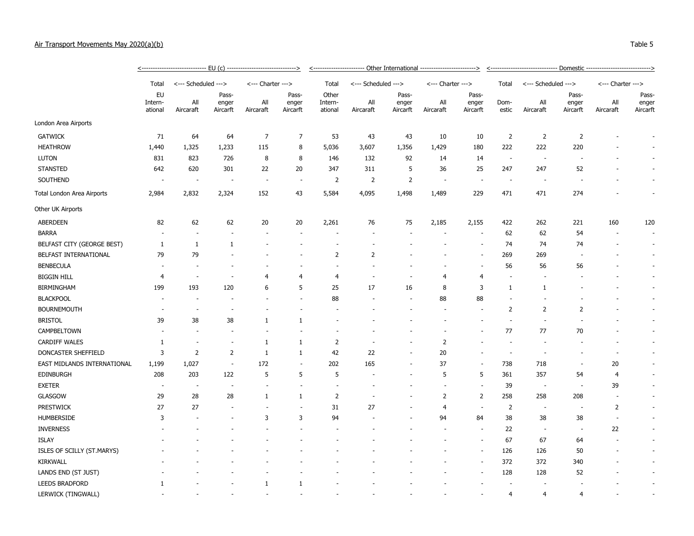## Air Transport Movements May 2020(a)(b) Table 5

|                             |                          | <-------------------------------    EU (c) ------------------------------> |                            |                          |                            | <----------------------- Other International ------------------------> |                     |                            |                   |                            |                          |                          |                            |                   |                            |  |
|-----------------------------|--------------------------|----------------------------------------------------------------------------|----------------------------|--------------------------|----------------------------|------------------------------------------------------------------------|---------------------|----------------------------|-------------------|----------------------------|--------------------------|--------------------------|----------------------------|-------------------|----------------------------|--|
|                             | Total                    | <--- Scheduled --->                                                        |                            | <--- Charter --->        |                            | Total                                                                  | <--- Scheduled ---> |                            | <--- Charter ---> |                            | Total                    | <--- Scheduled --->      |                            | <--- Charter ---> |                            |  |
|                             | EU<br>Intern-<br>ational | All<br>Aircaraft                                                           | Pass-<br>enger<br>Aircarft | All<br>Aircaraft         | Pass-<br>enger<br>Aircarft | Other<br>Intern-<br>ational                                            | All<br>Aircaraft    | Pass-<br>enger<br>Aircarft | All<br>Aircaraft  | Pass-<br>enger<br>Aircarft | Dom-<br>estic            | All<br>Aircaraft         | Pass-<br>enger<br>Aircarft | All<br>Aircaraft  | Pass-<br>enger<br>Aircarft |  |
| London Area Airports        |                          |                                                                            |                            |                          |                            |                                                                        |                     |                            |                   |                            |                          |                          |                            |                   |                            |  |
| <b>GATWICK</b>              | 71                       | 64                                                                         | 64                         | $\overline{7}$           | 7                          | 53                                                                     | 43                  | 43                         | 10                | 10                         | $\overline{2}$           | $\overline{2}$           | $\overline{2}$             |                   |                            |  |
| <b>HEATHROW</b>             | 1,440                    | 1,325                                                                      | 1,233                      | 115                      | 8                          | 5,036                                                                  | 3,607               | 1,356                      | 1,429             | 180                        | 222                      | 222                      | 220                        |                   |                            |  |
| <b>LUTON</b>                | 831                      | 823                                                                        | 726                        | 8                        | 8                          | 146                                                                    | 132                 | 92                         | 14                | 14                         | $\overline{\phantom{a}}$ |                          |                            |                   |                            |  |
| <b>STANSTED</b>             | 642                      | 620                                                                        | 301                        | 22                       | 20                         | 347                                                                    | 311                 | 5                          | 36                | 25                         | 247                      | 247                      | 52                         |                   |                            |  |
| SOUTHEND                    |                          |                                                                            |                            |                          | ÷.                         | $\overline{2}$                                                         | $\overline{2}$      | $\overline{2}$             |                   |                            |                          |                          |                            |                   |                            |  |
| Total London Area Airports  | 2,984                    | 2,832                                                                      | 2,324                      | 152                      | 43                         | 5,584                                                                  | 4,095               | 1,498                      | 1,489             | 229                        | 471                      | 471                      | 274                        |                   | ÷                          |  |
| Other UK Airports           |                          |                                                                            |                            |                          |                            |                                                                        |                     |                            |                   |                            |                          |                          |                            |                   |                            |  |
| ABERDEEN                    | 82                       | 62                                                                         | 62                         | 20                       | 20                         | 2,261                                                                  | 76                  | 75                         | 2,185             | 2,155                      | 422                      | 262                      | 221                        | 160               | 120                        |  |
| <b>BARRA</b>                |                          |                                                                            |                            |                          |                            |                                                                        |                     |                            |                   | $\overline{\phantom{a}}$   | 62                       | 62                       | 54                         |                   | $\sim$                     |  |
| BELFAST CITY (GEORGE BEST)  | $\mathbf{1}$             | $\mathbf{1}$                                                               | 1                          |                          |                            |                                                                        |                     |                            |                   | $\overline{\phantom{a}}$   | 74                       | 74                       | 74                         |                   | $\sim$                     |  |
| BELFAST INTERNATIONAL       | 79                       | 79                                                                         |                            |                          |                            | $\overline{2}$                                                         | $\overline{2}$      |                            |                   | $\overline{a}$             | 269                      | 269                      |                            |                   | $\overline{\phantom{a}}$   |  |
| <b>BENBECULA</b>            |                          |                                                                            |                            |                          |                            |                                                                        |                     |                            |                   |                            | 56                       | 56                       | 56                         |                   | $\sim$                     |  |
| <b>BIGGIN HILL</b>          | 4                        |                                                                            |                            | 4                        | $\overline{4}$             | $\overline{4}$                                                         |                     |                            | 4                 | 4                          |                          |                          |                            |                   | $\overline{\phantom{a}}$   |  |
| <b>BIRMINGHAM</b>           | 199                      | 193                                                                        | 120                        | 6                        | 5                          | 25                                                                     | 17                  | 16                         | 8                 | 3                          | 1                        | $\mathbf{1}$             |                            |                   | $\overline{\phantom{a}}$   |  |
| <b>BLACKPOOL</b>            |                          |                                                                            |                            |                          |                            | 88                                                                     |                     |                            | 88                | 88                         |                          |                          |                            |                   | $\overline{\phantom{a}}$   |  |
| <b>BOURNEMOUTH</b>          |                          |                                                                            |                            |                          |                            |                                                                        |                     |                            |                   |                            | 2                        | $\overline{2}$           | $\overline{2}$             |                   | $\overline{\phantom{a}}$   |  |
| <b>BRISTOL</b>              | 39                       | 38                                                                         | 38                         | $\mathbf{1}$             | $\mathbf{1}$               |                                                                        |                     |                            |                   |                            |                          |                          |                            |                   | $\overline{\phantom{a}}$   |  |
| CAMPBELTOWN                 |                          |                                                                            |                            |                          |                            |                                                                        |                     |                            |                   |                            | 77                       | 77                       | 70                         |                   | $\sim$                     |  |
| <b>CARDIFF WALES</b>        | 1                        | $\sim$                                                                     |                            | $\mathbf{1}$             | $\mathbf{1}$               | $\overline{2}$                                                         |                     |                            | $\overline{2}$    |                            |                          |                          |                            |                   | $\sim$                     |  |
| DONCASTER SHEFFIELD         | 3                        | 2                                                                          | 2                          | 1                        | $\mathbf{1}$               | 42                                                                     | 22                  |                            | 20                |                            | $\sim$                   |                          |                            |                   | $\sim$                     |  |
| EAST MIDLANDS INTERNATIONAL | 1,199                    | 1,027                                                                      | $\sim$                     | 172                      | $\sim$                     | 202                                                                    | 165                 |                            | 37                | ÷,                         | 738                      | 718                      | $\overline{\phantom{a}}$   | 20                | $\sim$                     |  |
| <b>EDINBURGH</b>            | 208                      | 203                                                                        | 122                        | 5                        | 5                          | 5                                                                      |                     |                            | 5                 | 5                          | 361                      | 357                      | 54                         | $\overline{4}$    | $\sim$                     |  |
| <b>EXETER</b>               | $\sim$                   | $\overline{\phantom{a}}$                                                   | $\overline{\phantom{a}}$   | $\overline{\phantom{a}}$ | $\sim$                     | $\overline{\phantom{a}}$                                               |                     |                            |                   | $\overline{\phantom{a}}$   | 39                       | $\sim$                   | $\sim$                     | 39                | $\sim$                     |  |
| <b>GLASGOW</b>              | 29                       | 28                                                                         | 28                         | $\mathbf{1}$             | $\mathbf{1}$               | $\overline{2}$                                                         |                     |                            | $\overline{2}$    | $\overline{2}$             | 258                      | 258                      | 208                        | ÷,                | $\sim$                     |  |
| <b>PRESTWICK</b>            | 27                       | 27                                                                         | $\overline{a}$             |                          | ÷.                         | 31                                                                     | 27                  |                            | $\overline{4}$    | ÷,                         | $\overline{2}$           | $\overline{\phantom{a}}$ | $\sim$                     | $\overline{2}$    | $\sim$                     |  |
| <b>HUMBERSIDE</b>           | 3                        |                                                                            |                            | 3                        | 3                          | 94                                                                     |                     |                            | 94                | 84                         | 38                       | 38                       | 38                         | $\overline{a}$    | $\sim$                     |  |
| <b>INVERNESS</b>            |                          |                                                                            |                            |                          |                            |                                                                        |                     |                            |                   |                            | 22                       |                          | $\overline{\phantom{a}}$   | 22                | $\overline{\phantom{a}}$   |  |
| <b>ISLAY</b>                |                          |                                                                            |                            |                          |                            |                                                                        |                     |                            |                   |                            | 67                       | 67                       | 64                         |                   | ÷                          |  |
| ISLES OF SCILLY (ST.MARYS)  |                          |                                                                            |                            |                          |                            |                                                                        |                     |                            |                   |                            | 126                      | 126                      | 50                         |                   | $\overline{\phantom{a}}$   |  |
| <b>KIRKWALL</b>             |                          |                                                                            |                            |                          |                            |                                                                        |                     |                            |                   |                            | 372                      | 372                      | 340                        |                   |                            |  |
| LANDS END (ST JUST)         |                          |                                                                            |                            |                          |                            |                                                                        |                     |                            |                   |                            | 128                      | 128                      | 52                         |                   |                            |  |

LEEDS BRADFORD 1 - - 1 1 - - - - - - - - - - LERWICK (TINGWALL) For the contract of the contract of the contract of the contract of the contract of the contract of the contract of the contract of the contract of the contract of the contract of the contract of the con